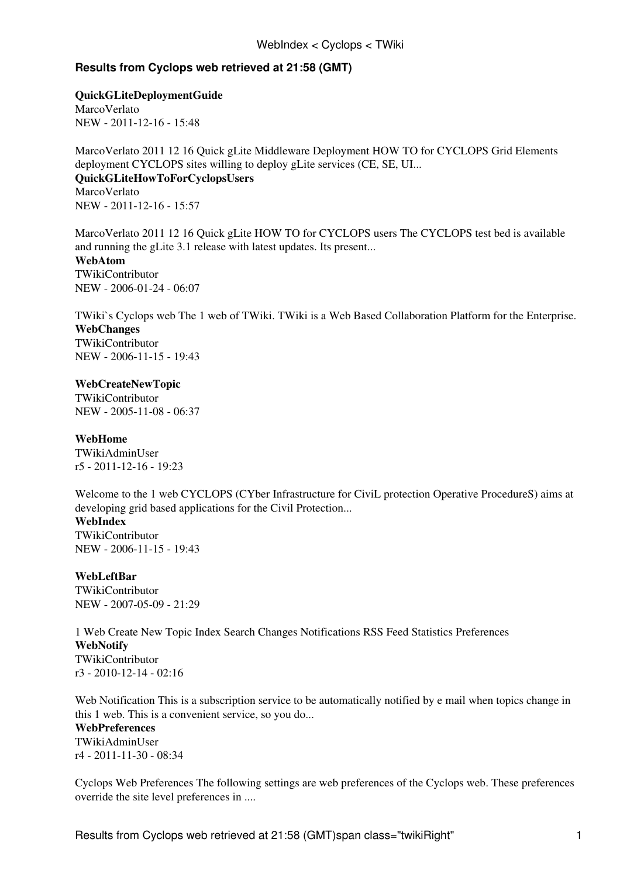## **Results from Cyclops web retrieved at 21:58 (GMT)**

**[QuickGLiteDeploymentGuide](https://wiki-igi.cnaf.infn.it/twiki/bin/view/Cyclops/QuickGLiteDeploymentGuide)**

[MarcoVerlato](https://wiki-igi.cnaf.infn.it/twiki/bin/view/Main/MarcoVerlato) NEW - [2011-12-16 - 15:48](https://wiki-igi.cnaf.infn.it/twiki/bin/rdiff/Cyclops/QuickGLiteDeploymentGuide) 

MarcoVerlato 2011 12 16 Quick gLite Middleware Deployment HOW TO for CYCLOPS Grid Elements deployment CYCLOPS sites willing to deploy gLite services (CE, SE, UI... **[QuickGLiteHowToForCyclopsUsers](https://wiki-igi.cnaf.infn.it/twiki/bin/view/Cyclops/QuickGLiteHowToForCyclopsUsers)** [MarcoVerlato](https://wiki-igi.cnaf.infn.it/twiki/bin/view/Main/MarcoVerlato) NEW - [2011-12-16 - 15:57](https://wiki-igi.cnaf.infn.it/twiki/bin/rdiff/Cyclops/QuickGLiteHowToForCyclopsUsers) 

MarcoVerlato 2011 12 16 Quick gLite HOW TO for CYCLOPS users The CYCLOPS test bed is available and running the gLite 3.1 release with latest updates. Its present... **[WebAtom](https://wiki-igi.cnaf.infn.it/twiki/bin/view/Cyclops/WebAtom)** [TWikiContributor](https://wiki-igi.cnaf.infn.it/twiki/bin/view/Main/TWikiContributor) NEW - [2006-01-24 - 06:07](https://wiki-igi.cnaf.infn.it/twiki/bin/rdiff/Cyclops/WebAtom) 

TWiki`s Cyclops web The 1 web of TWiki. TWiki is a Web Based Collaboration Platform for the Enterprise. **[WebChanges](https://wiki-igi.cnaf.infn.it/twiki/bin/view/Cyclops/WebChanges)** [TWikiContributor](https://wiki-igi.cnaf.infn.it/twiki/bin/view/Main/TWikiContributor) NEW - [2006-11-15 - 19:43](https://wiki-igi.cnaf.infn.it/twiki/bin/rdiff/Cyclops/WebChanges) 

## **[WebCreateNewTopic](https://wiki-igi.cnaf.infn.it/twiki/bin/view/Cyclops/WebCreateNewTopic)**

[TWikiContributor](https://wiki-igi.cnaf.infn.it/twiki/bin/view/Main/TWikiContributor) NEW - [2005-11-08 - 06:37](https://wiki-igi.cnaf.infn.it/twiki/bin/rdiff/Cyclops/WebCreateNewTopic) 

## **[WebHome](https://wiki-igi.cnaf.infn.it/twiki/bin/view/Cyclops/WebHome)**

[TWikiAdminUser](https://wiki-igi.cnaf.infn.it/twiki/bin/view/Main/TWikiAdminUser) r5 - [2011-12-16 - 19:23](https://wiki-igi.cnaf.infn.it/twiki/bin/rdiff/Cyclops/WebHome) 

Welcome to the 1 web CYCLOPS (CYber Infrastructure for CiviL protection Operative ProcedureS) aims at developing grid based applications for the Civil Protection... **WebIndex** [TWikiContributor](https://wiki-igi.cnaf.infn.it/twiki/bin/view/Main/TWikiContributor)

NEW - [2006-11-15 - 19:43](https://wiki-igi.cnaf.infn.it/twiki/bin/rdiff/Cyclops/WebIndex) 

### **[WebLeftBar](https://wiki-igi.cnaf.infn.it/twiki/bin/view/Cyclops/WebLeftBar)**

[TWikiContributor](https://wiki-igi.cnaf.infn.it/twiki/bin/view/Main/TWikiContributor) NEW - [2007-05-09 - 21:29](https://wiki-igi.cnaf.infn.it/twiki/bin/rdiff/Cyclops/WebLeftBar) 

1 Web Create New Topic Index Search Changes Notifications RSS Feed Statistics Preferences **[WebNotify](https://wiki-igi.cnaf.infn.it/twiki/bin/view/Cyclops/WebNotify)** [TWikiContributor](https://wiki-igi.cnaf.infn.it/twiki/bin/view/Main/TWikiContributor) r3 - [2010-12-14 - 02:16](https://wiki-igi.cnaf.infn.it/twiki/bin/rdiff/Cyclops/WebNotify) 

Web Notification This is a subscription service to be automatically notified by e mail when topics change in this 1 web. This is a convenient service, so you do...

**[WebPreferences](https://wiki-igi.cnaf.infn.it/twiki/bin/view/Cyclops/WebPreferences)** [TWikiAdminUser](https://wiki-igi.cnaf.infn.it/twiki/bin/view/Main/TWikiAdminUser) r4 - [2011-11-30 - 08:34](https://wiki-igi.cnaf.infn.it/twiki/bin/rdiff/Cyclops/WebPreferences) 

Cyclops Web Preferences The following settings are web preferences of the Cyclops web. These preferences override the site level preferences in ....

Results from Cyclops web retrieved at 21:58 (GMT)span class="twikiRight" 1